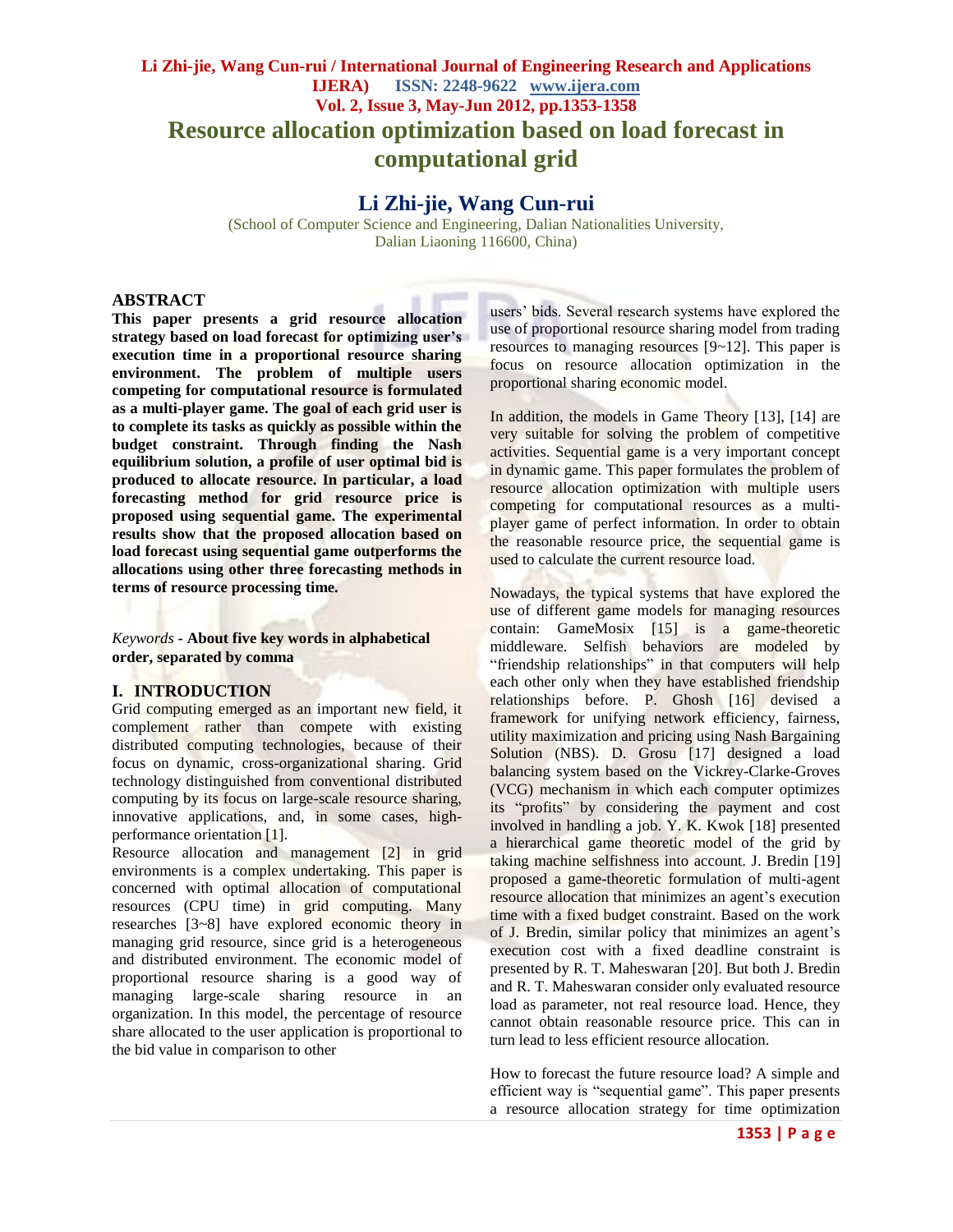# **Li Zhi-jie, Wang Cun-rui / International Journal of Engineering Research and Applications IJERA) ISSN: 2248-9622 www.ijera.com Vol. 2, Issue 3, May-Jun 2012, pp.1353-1358 Resource allocation optimization based on load forecast in computational grid**

# **Li Zhi-jie, Wang Cun-rui**

(School of Computer Science and Engineering, Dalian Nationalities University, Dalian Liaoning 116600, China)

## **ABSTRACT**

**This paper presents a grid resource allocation strategy based on load forecast for optimizing user's execution time in a proportional resource sharing environment. The problem of multiple users competing for computational resource is formulated as a multi-player game. The goal of each grid user is to complete its tasks as quickly as possible within the budget constraint. Through finding the Nash equilibrium solution, a profile of user optimal bid is produced to allocate resource. In particular, a load forecasting method for grid resource price is proposed using sequential game. The experimental results show that the proposed allocation based on load forecast using sequential game outperforms the allocations using other three forecasting methods in terms of resource processing time.**

*Keywords* **- About five key words in alphabetical order, separated by comma**

## **I. INTRODUCTION**

Grid computing emerged as an important new field, it complement rather than compete with existing distributed computing technologies, because of their focus on dynamic, cross-organizational sharing. Grid technology distinguished from conventional distributed computing by its focus on large-scale resource sharing, innovative applications, and, in some cases, highperformance orientation [1].

Resource allocation and management [2] in grid environments is a complex undertaking. This paper is concerned with optimal allocation of computational resources (CPU time) in grid computing. Many researches [3~8] have explored economic theory in managing grid resource, since grid is a heterogeneous and distributed environment. The economic model of proportional resource sharing is a good way of managing large-scale sharing resource in an organization. In this model, the percentage of resource share allocated to the user application is proportional to the bid value in comparison to other

users' bids. Several research systems have explored the use of proportional resource sharing model from trading resources to managing resources [9~12]. This paper is focus on resource allocation optimization in the proportional sharing economic model.

In addition, the models in Game Theory [13], [14] are very suitable for solving the problem of competitive activities. Sequential game is a very important concept in dynamic game. This paper formulates the problem of resource allocation optimization with multiple users competing for computational resources as a multiplayer game of perfect information. In order to obtain the reasonable resource price, the sequential game is used to calculate the current resource load.

Nowadays, the typical systems that have explored the use of different game models for managing resources contain: GameMosix [15] is a game-theoretic middleware. Selfish behaviors are modeled by "friendship relationships" in that computers will help each other only when they have established friendship relationships before. P. Ghosh [16] devised a framework for unifying network efficiency, fairness, utility maximization and pricing using Nash Bargaining Solution (NBS). D. Grosu [17] designed a load balancing system based on the Vickrey-Clarke-Groves (VCG) mechanism in which each computer optimizes its "profits" by considering the payment and cost involved in handling a job. Y. K. Kwok [18] presented a hierarchical game theoretic model of the grid by taking machine selfishness into account. J. Bredin [19] proposed a game-theoretic formulation of multi-agent resource allocation that minimizes an agent's execution time with a fixed budget constraint. Based on the work of J. Bredin, similar policy that minimizes an agent's execution cost with a fixed deadline constraint is presented by R. T. Maheswaran [20]. But both J. Bredin and R. T. Maheswaran consider only evaluated resource load as parameter, not real resource load. Hence, they cannot obtain reasonable resource price. This can in turn lead to less efficient resource allocation.

How to forecast the future resource load? A simple and efficient way is "sequential game". This paper presents a resource allocation strategy for time optimization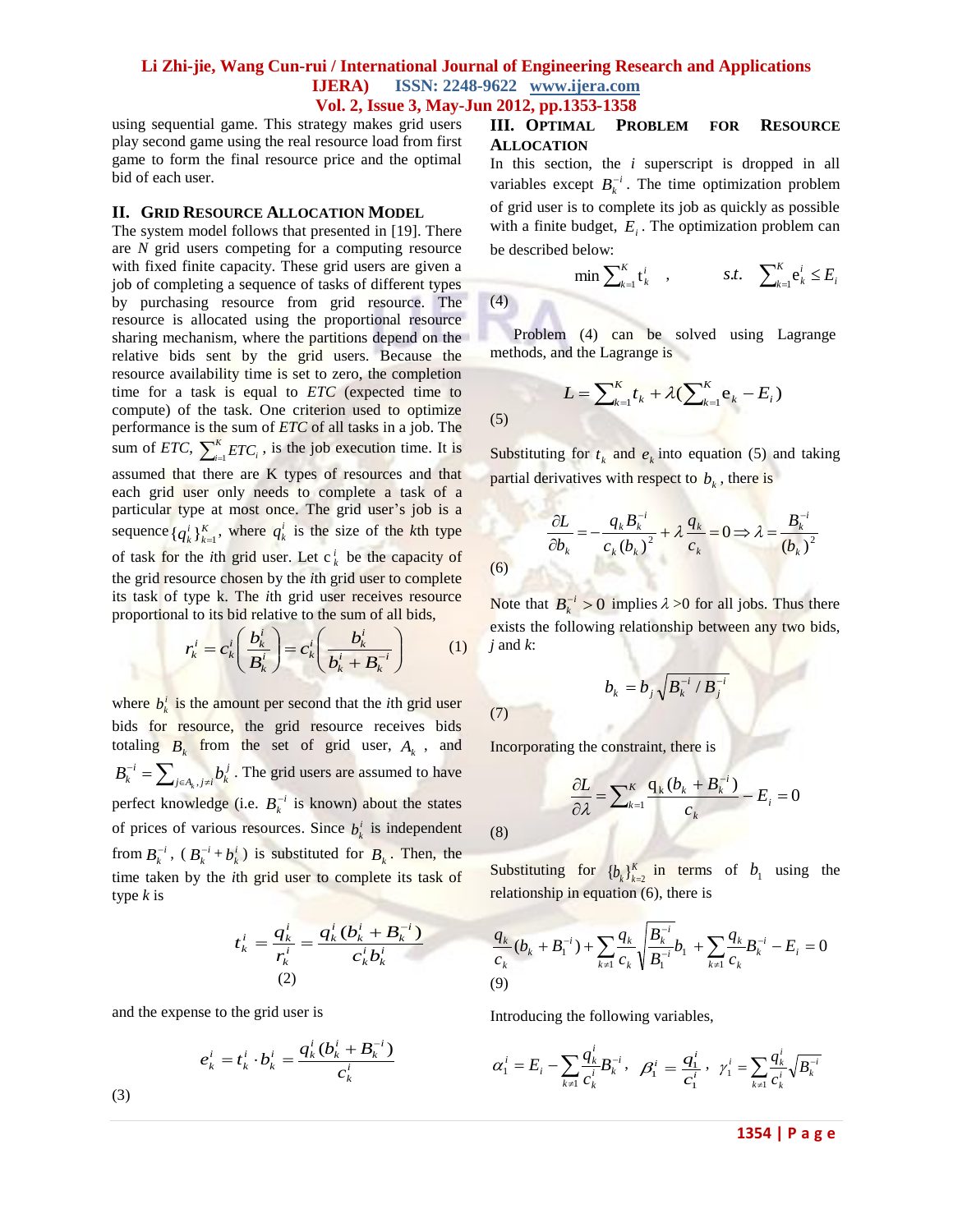(4)

(5)

using sequential game. This strategy makes grid users play second game using the real resource load from first game to form the final resource price and the optimal bid of each user.

#### **II. GRID RESOURCE ALLOCATION MODEL**

The system model follows that presented in [19]. There are *N* grid users competing for a computing resource with fixed finite capacity. These grid users are given a job of completing a sequence of tasks of different types by purchasing resource from grid resource. The resource is allocated using the proportional resource sharing mechanism, where the partitions depend on the relative bids sent by the grid users. Because the resource availability time is set to zero, the completion time for a task is equal to *ETC* (expected time to compute) of the task. One criterion used to optimize performance is the sum of *ETC* of all tasks in a job. The sum of *ETC*,  $\sum_{i=1}^{K}$  $\int_{i=1}^{K} ETC_i$ , is the job execution time. It is assumed that there are K types of resources and that each grid user only needs to complete a task of a particular type at most once. The grid user's job is a sequence  $\{q_k^i\}_{k=1}^K$ , where  $q_k^i$  is the size of the *k*th type of task for the *i*th grid user. Let  $c_k^i$  be the capacity of the grid resource chosen by the *i*th grid user to complete its task of type k. The *i*th grid user receives resource proportional to its bid relative to the sum of all bids,

$$
r_k^i = c_k^i \left( \frac{b_k^i}{B_k^i} \right) = c_k^i \left( \frac{b_k^i}{b_k^i + B_k^{-i}} \right) \tag{1}
$$

where  $b_k^i$  is the amount per second that the *i*th grid user bids for resource, the grid resource receives bids totaling  $B_k$  from the set of grid user,  $A_k$ , and  $\sum_{k}^{-i} = \sum_{j \in A_k, j \neq i}$  $B_k^{-i} = \sum_{j \in A_k, j \neq i} b_k^j$ . The grid users are assumed to have perfect knowledge (i.e.  $B_k^{-i}$  is known) about the states of prices of various resources. Since  $b_k^i$  is independent from  $B_k^{-i}$ ,  $(B_k^{-i} + b_k^i)$  is substituted for  $B_k$ . Then, the time taken by the *i*th grid user to complete its task of type *k* is

$$
t_k^i = \frac{q_k^i}{r_k^i} = \frac{q_k^i (b_k^i + B_k^{-i})}{c_k^i b_k^i}
$$
  
(2)

and the expense to the grid user is

$$
e_k^i = t_k^i \cdot b_k^i = \frac{q_k^i (b_k^i + B_k^{-i})}{c_k^i}
$$

## **III. OPTIMAL PROBLEM FOR RESOURCE ALLOCATION**

In this section, the *i* superscript is dropped in all variables except  $B_k^{-i}$ . The time optimization problem of grid user is to complete its job as quickly as possible with a finite budget,  $E_i$ . The optimization problem can be described below:

$$
\min \sum_{k=1}^{K} \mathbf{t}_{k}^{i} , \qquad s.t. \sum_{k=1}^{K} \mathbf{e}_{k}^{i} \leq E_{i}
$$
\n
$$
(4)
$$

Problem (4) can be solved using Lagrange methods, and the Lagrange is

$$
L = \sum_{k=1}^{K} t_k + \lambda (\sum_{k=1}^{K} e_k - E_i)
$$
\n(5)

Substituting for  $t_k$  and  $e_k$  into equation (5) and taking partial derivatives with respect to *bk* , there is

$$
\frac{\partial L}{\partial b_k} = -\frac{q_k B_k^{-i}}{c_k (b_k)^2} + \lambda \frac{q_k}{c_k} = 0 \Longrightarrow \lambda = \frac{B_k^{-i}}{(b_k)^2}
$$
\n(6)

Note that  $B_k^{-i} > 0$  implies  $\lambda > 0$  for all jobs. Thus there exists the following relationship between any two bids, *j* and *k*:

$$
b_k = b_j \sqrt{B_k^{-i} / B_j^{-i}}
$$

(7)

(8)

Incorporating the constraint, there is

$$
\frac{\partial L}{\partial \lambda} = \sum_{k=1}^{K} \frac{q_k (b_k + B_k^{-i})}{c_k} - E_i = 0
$$

Substituting for  ${b_k}_{k=2}^K$  in terms of  $b_1$  using the relationship in equation (6), there is

$$
\frac{q_k}{c_k}(b_k + B_1^{-i}) + \sum_{k \neq 1} \frac{q_k}{c_k} \sqrt{\frac{B_k^{-i}}{B_1^{-i}}} b_1 + \sum_{k \neq 1} \frac{q_k}{c_k} B_k^{-i} - E_i = 0
$$
\n(9)

Introducing the following variables,

$$
\alpha_1^i = E_i - \sum_{k \neq 1} \frac{q_k^i}{c_k^i} B_k^{-i} , \quad \beta_1^i = \frac{q_1^i}{c_1^i} , \quad \gamma_1^i = \sum_{k \neq 1} \frac{q_k^i}{c_k^i} \sqrt{B_k^{-i}}
$$

(3)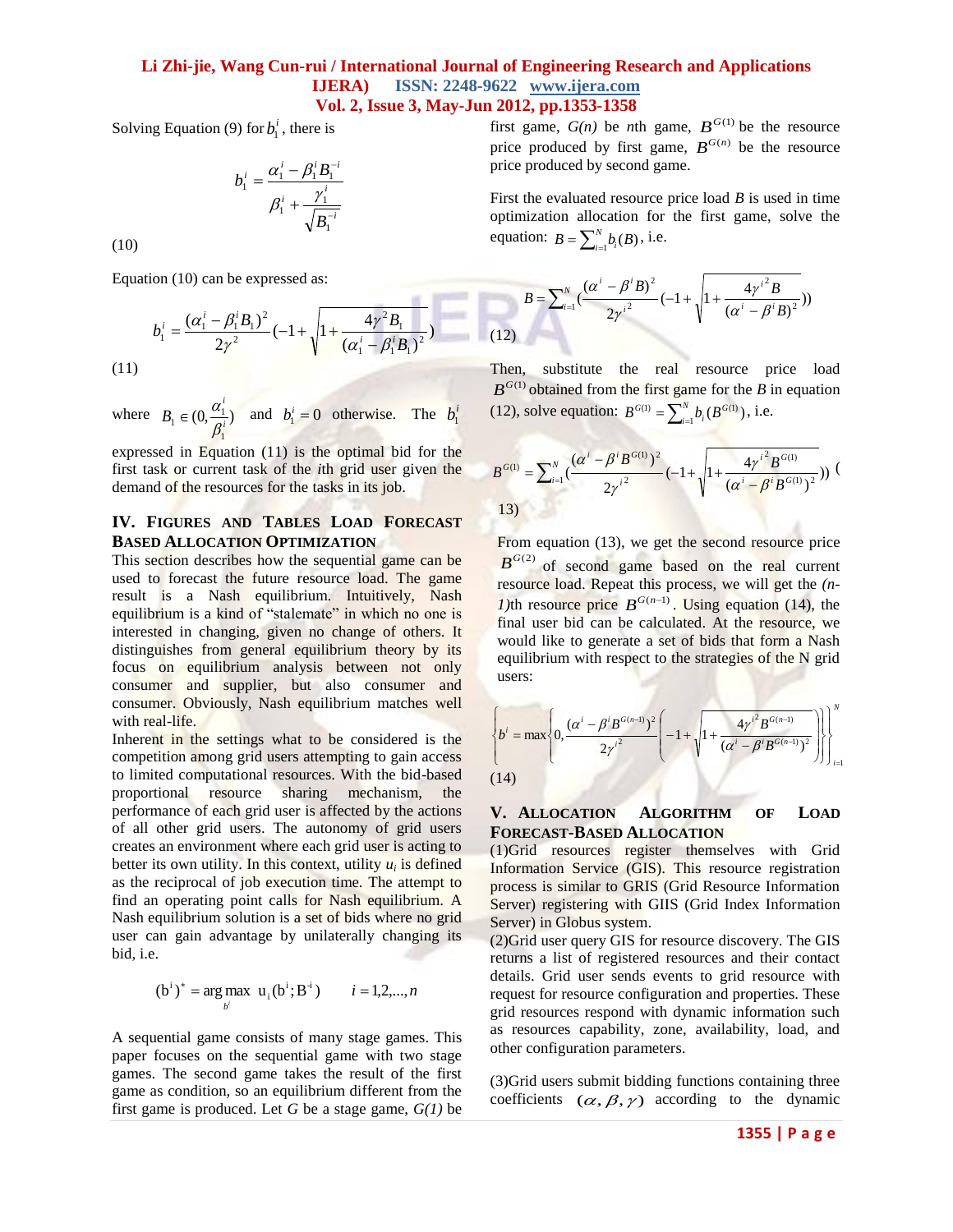of them

Solving Equation (9) for  $b_1^i$ , there is

$$
b_1^i = \frac{\alpha_1^i - \beta_1^i B_1^{-i}}{\beta_1^i + \frac{\gamma_1^i}{\sqrt{B_1^{-i}}}}
$$

(10)

Equation (10) can be expressed as:

$$
b_1^i = \frac{(\alpha_1^i - \beta_1^i B_1)^2}{2\gamma^2} (-1 + \sqrt{1 + \frac{4\gamma^2 B_1}{(\alpha_1^i - \beta_1^i B_1)^2}})
$$
\n(11)

where  $B_1 \in (0, \frac{\mu_1}{\sigma^2})$ 1  $t_1 \in (0, \frac{\mu_1}{\rho^i})$ *i B*  $\beta_1$  $\epsilon \in (0, \frac{\alpha_1}{\alpha_1})$  and  $b_1^i = 0$  otherwise. The  $b_1^i$ 

expressed in Equation (11) is the optimal bid for the first task or current task of the *i*th grid user given the demand of the resources for the tasks in its job.

## **IV. FIGURES AND TABLES LOAD FORECAST BASED ALLOCATION OPTIMIZATION**

This section describes how the sequential game can be used to forecast the future resource load. The game result is a Nash equilibrium. Intuitively, Nash equilibrium is a kind of "stalemate" in which no one is interested in changing, given no change of others. It distinguishes from general equilibrium theory by its focus on equilibrium analysis between not only consumer and supplier, but also consumer and consumer. Obviously, Nash equilibrium matches well with real-life.

Inherent in the settings what to be considered is the competition among grid users attempting to gain access to limited computational resources. With the bid-based proportional resource sharing mechanism, the performance of each grid user is affected by the actions of all other grid users. The autonomy of grid users creates an environment where each grid user is acting to better its own utility. In this context, utility  $u_i$  is defined as the reciprocal of job execution time. The attempt to find an operating point calls for Nash equilibrium. A Nash equilibrium solution is a set of bids where no grid user can gain advantage by unilaterally changing its bid, i.e.

$$
(b^i)^* = \arg \max_{b^i} u_i(b^i; B^i)
$$
  $i = 1, 2, ..., n$ 

A sequential game consists of many stage games. This paper focuses on the sequential game with two stage games. The second game takes the result of the first game as condition, so an equilibrium different from the first game is produced. Let *G* be a stage game, *G(1)* be

first game,  $G(n)$  be *n*th game,  $B^{G(1)}$  be the resource price produced by first game,  $B^{G(n)}$  be the resource price produced by second game.

First the evaluated resource price load *B* is used in time optimization allocation for the first game, solve the equation:  $B = \sum_{i=1}^{N} A_i$  $B = \sum_{i=1}^{N} b_i(B)$ , i.e.

$$
B = \sum_{i=1}^{N} \left( \frac{(\alpha^{i} - \beta^{i} B)^{2}}{2 {\gamma^{i}}^{2}} (-1 + \sqrt{1 + \frac{4 {\gamma^{i}}^{2} B}{(\alpha^{i} - \beta^{i} B)^{2}}}) \right)
$$
\n(12)

Then, substitute the real resource price load  $B^{G(1)}$  obtained from the first game for the *B* in equation (12), solve equation:  $B^{G(1)} = \sum_{i=1}^{N} A^{G(i)}$ *i*  $B^{G(1)} = \sum_{i=1}^{N} b_i (B^G)$  $^{(1)} = \sum_{i=1}^{N} b_i(B^{(1)})$ , i.e.

$$
B^{G(1)} = \sum_{i=1}^{N} \left(\frac{(\alpha^{i} - \beta^{i} B^{G(1)})^{2}}{2 {\gamma^{i}}^{2}} (-1 + \sqrt{1 + \frac{4 {\gamma^{i}}^{2} B^{G(1)}}{(\alpha^{i} - \beta^{i} B^{G(1)})^{2}}})\right) (1)
$$

From equation (13), we get the second resource price  $B^{G(2)}$  of second game based on the real current resource load. Repeat this process, we will get the *(n-1*)th resource price  $B^{G(n-1)}$ . Using equation (14), the final user bid can be calculated. At the resource, we would like to generate a set of bids that form a Nash equilibrium with respect to the strategies of the N grid users:

$$
\left\{ b^{i} = \max \left\{ 0, \frac{(\alpha^{i} - \beta^{i} B^{G(n-1)})^{2}}{2{\gamma^{i}}^{2}} \left( -1 + \sqrt{1 + \frac{4{\gamma^{i}}^{2} B^{G(n-1)}}{(\alpha^{i} - \beta^{i} B^{G(n-1)})^{2}}} \right) \right\} \right\}_{i=1}^{N}
$$
\n(14)

#### **V. ALLOCATION ALGORITHM OF LOAD FORECAST-BASED ALLOCATION**

(1)Grid resources register themselves with Grid Information Service (GIS). This resource registration process is similar to GRIS (Grid Resource Information Server) registering with GIIS (Grid Index Information Server) in Globus system.

(2)Grid user query GIS for resource discovery. The GIS returns a list of registered resources and their contact details. Grid user sends events to grid resource with request for resource configuration and properties. These grid resources respond with dynamic information such as resources capability, zone, availability, load, and other configuration parameters.

(3)Grid users submit bidding functions containing three coefficients  $(\alpha, \beta, \gamma)$  according to the dynamic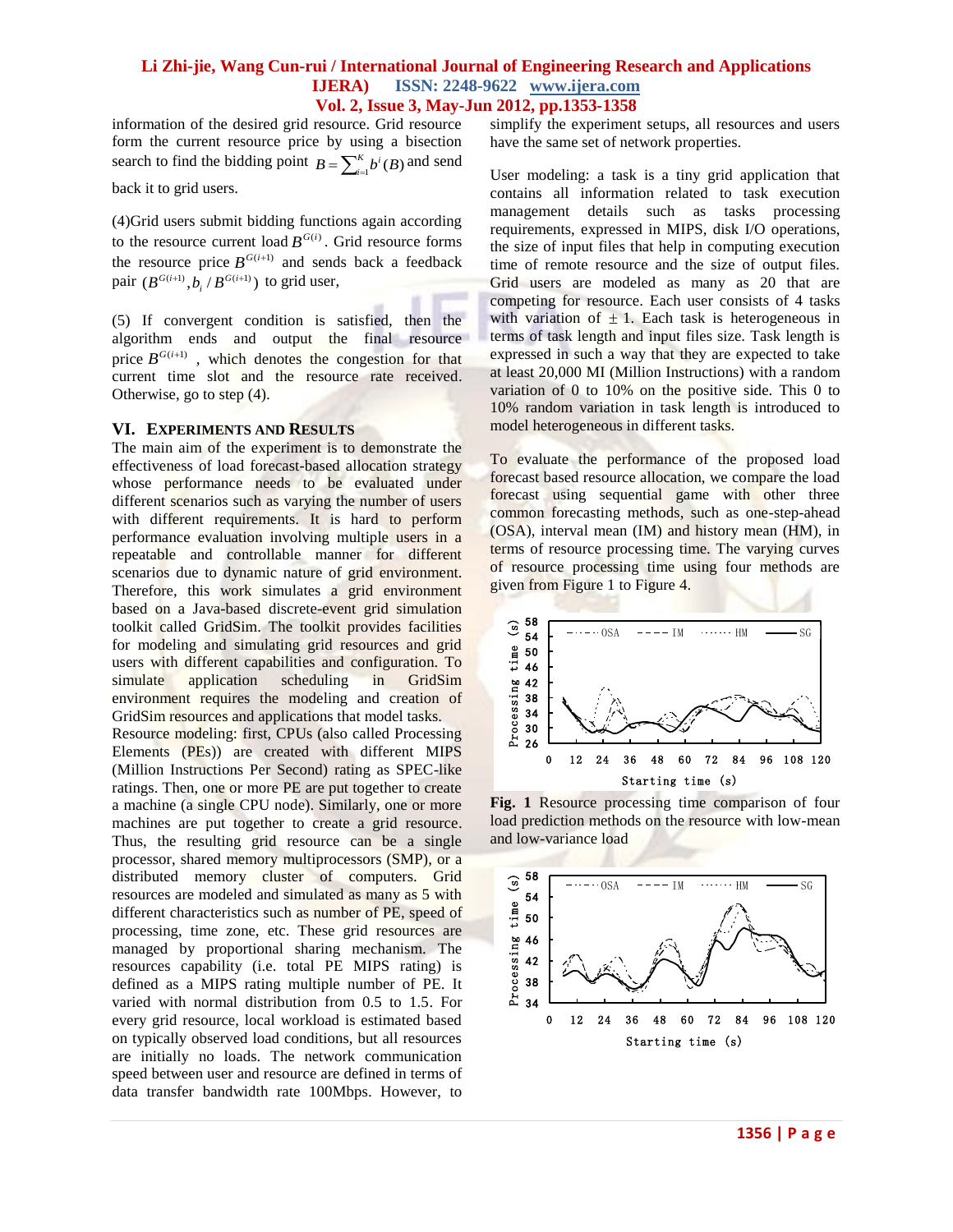information of the desired grid resource. Grid resource form the current resource price by using a bisection search to find the bidding point  $B = \sum_{i=1}^{K} A_i$  $B = \sum_{i=1}^{K} b^{i}(B)$  and send

back it to grid users.

(4)Grid users submit bidding functions again according to the resource current load  $B^{G(i)}$ . Grid resource forms the resource price  $B^{G(i+1)}$  and sends back a feedback pair  $(B^{G(i+1)}, b_i / B^{G(i+1)})$  to grid user,

(5) If convergent condition is satisfied, then the algorithm ends and output the final resource price  $B^{G(i+1)}$ , which denotes the congestion for that current time slot and the resource rate received. Otherwise, go to step (4).

#### **VI. EXPERIMENTS AND RESULTS**

The main aim of the experiment is to demonstrate the effectiveness of load forecast-based allocation strategy whose performance needs to be evaluated under different scenarios such as varying the number of users with different requirements. It is hard to perform performance evaluation involving multiple users in a repeatable and controllable manner for different scenarios due to dynamic nature of grid environment. Therefore, this work simulates a grid environment based on a Java-based discrete-event grid simulation toolkit called GridSim. The toolkit provides facilities for modeling and simulating grid resources and grid users with different capabilities and configuration. To simulate application scheduling in GridSim environment requires the modeling and creation of GridSim resources and applications that model tasks.

Resource modeling: first, CPUs (also called Processing Elements (PEs)) are created with different MIPS (Million Instructions Per Second) rating as SPEC-like ratings. Then, one or more PE are put together to create a machine (a single CPU node). Similarly, one or more machines are put together to create a grid resource. Thus, the resulting grid resource can be a single processor, shared memory multiprocessors (SMP), or a distributed memory cluster of computers. Grid resources are modeled and simulated as many as 5 with different characteristics such as number of PE, speed of processing, time zone, etc. These grid resources are managed by proportional sharing mechanism. The resources capability (i.e. total PE MIPS rating) is defined as a MIPS rating multiple number of PE. It varied with normal distribution from 0.5 to 1.5. For every grid resource, local workload is estimated based on typically observed load conditions, but all resources are initially no loads. The network communication speed between user and resource are defined in terms of data transfer bandwidth rate 100Mbps. However, to

simplify the experiment setups, all resources and users have the same set of network properties.

User modeling: a task is a tiny grid application that contains all information related to task execution management details such as tasks processing requirements, expressed in MIPS, disk I/O operations, the size of input files that help in computing execution time of remote resource and the size of output files. Grid users are modeled as many as 20 that are competing for resource. Each user consists of 4 tasks with variation of  $\pm$  1. Each task is heterogeneous in terms of task length and input files size. Task length is expressed in such a way that they are expected to take at least 20,000 MI (Million Instructions) with a random variation of 0 to 10% on the positive side. This 0 to 10% random variation in task length is introduced to model heterogeneous in different tasks.

To evaluate the performance of the proposed load forecast based resource allocation, we compare the load forecast using sequential game with other three common forecasting methods, such as one-step-ahead (OSA), interval mean (IM) and history mean (HM), in terms of resource processing time. The varying curves of resource processing time using four methods are given from Figure 1 to Figure 4.



**Fig. 1** Resource processing time comparison of four load prediction methods on the resource with low-mean and low-variance load

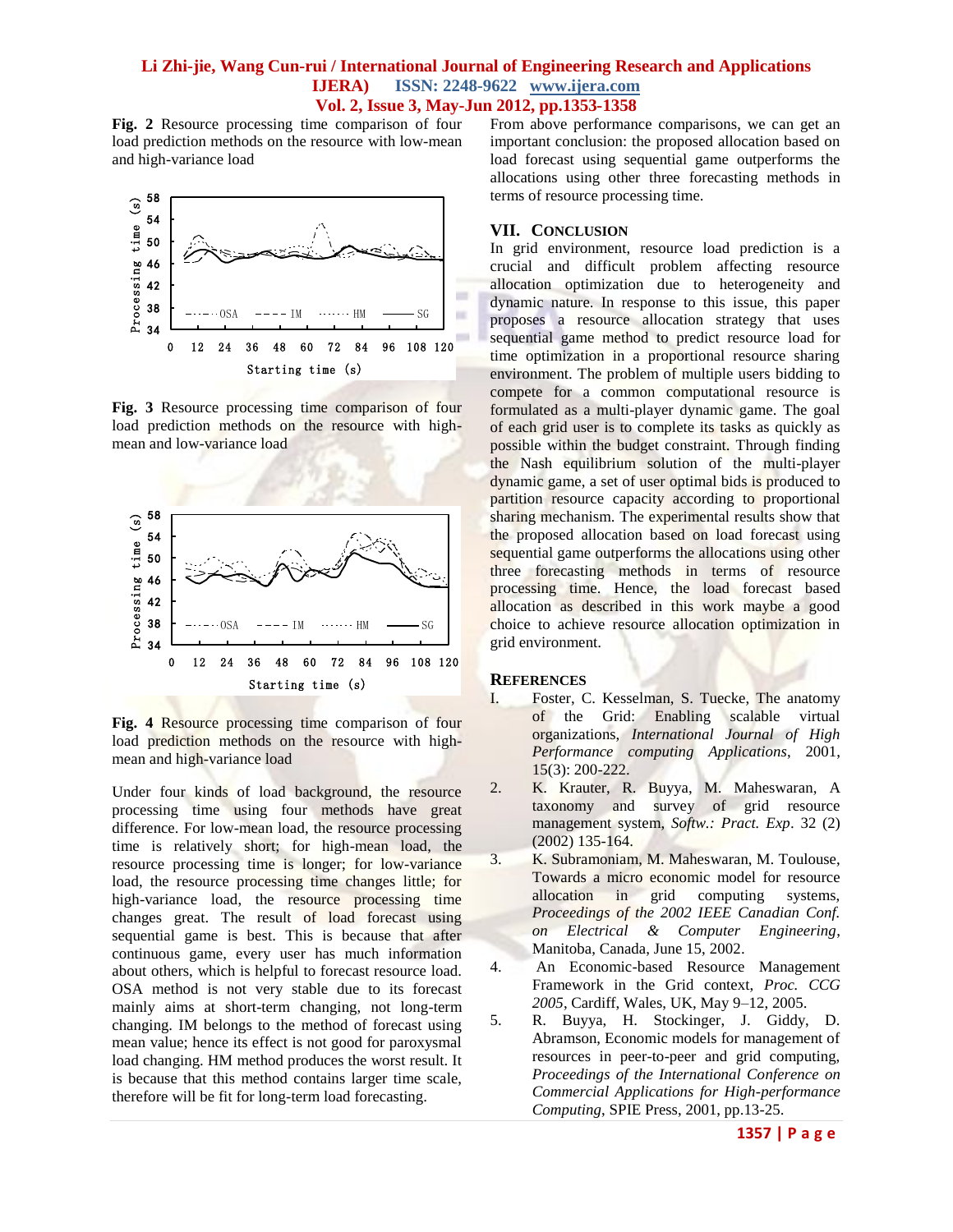**Fig. 2** Resource processing time comparison of four load prediction methods on the resource with low-mean and high-variance load



**Fig. 3** Resource processing time comparison of four load prediction methods on the resource with highmean and low-variance load



**Fig. 4** Resource processing time comparison of four load prediction methods on the resource with highmean and high-variance load

Under four kinds of load background, the resource processing time using four methods have great difference. For low-mean load, the resource processing time is relatively short; for high-mean load, the resource processing time is longer; for low-variance load, the resource processing time changes little; for high-variance load, the resource processing time changes great. The result of load forecast using sequential game is best. This is because that after continuous game, every user has much information about others, which is helpful to forecast resource load. OSA method is not very stable due to its forecast mainly aims at short-term changing, not long-term changing. IM belongs to the method of forecast using mean value; hence its effect is not good for paroxysmal load changing. HM method produces the worst result. It is because that this method contains larger time scale, therefore will be fit for long-term load forecasting.

From above performance comparisons, we can get an important conclusion: the proposed allocation based on load forecast using sequential game outperforms the allocations using other three forecasting methods in terms of resource processing time.

#### **VII. CONCLUSION**

In grid environment, resource load prediction is a crucial and difficult problem affecting resource allocation optimization due to heterogeneity and dynamic nature. In response to this issue, this paper proposes a resource allocation strategy that uses sequential game method to predict resource load for time optimization in a proportional resource sharing environment. The problem of multiple users bidding to compete for a common computational resource is formulated as a multi-player dynamic game. The goal of each grid user is to complete its tasks as quickly as possible within the budget constraint. Through finding the Nash equilibrium solution of the multi-player dynamic game, a set of user optimal bids is produced to partition resource capacity according to proportional sharing mechanism. The experimental results show that the proposed allocation based on load forecast using sequential game outperforms the allocations using other three forecasting methods in terms of resource processing time. Hence, the load forecast based allocation as described in this work maybe a good choice to achieve resource allocation optimization in grid environment.

#### **REFERENCES**

- I. Foster, C. Kesselman, S. Tuecke, The anatomy of the Grid: Enabling scalable virtual organizations, *International Journal of High Performance computing Applications*, 2001, 15(3): 200-222.
- 2. K. Krauter, R. Buyya, M. Maheswaran, A taxonomy and survey of grid resource management system, *Softw.: Pract. Exp*. 32 (2) (2002) 135-164.
- 3. K. Subramoniam, M. Maheswaran, M. Toulouse, Towards a micro economic model for resource allocation in grid computing systems, *Proceedings of the 2002 IEEE Canadian Conf. on Electrical & Computer Engineering*, Manitoba, Canada, June 15, 2002.
- 4. An Economic-based Resource Management Framework in the Grid context, *Proc. CCG 2005*, Cardiff, Wales, UK, May 9–12, 2005.
- 5. R. Buyya, H. Stockinger, J. Giddy, D. Abramson, Economic models for management of resources in peer-to-peer and grid computing, *Proceedings of the International Conference on Commercial Applications for High-performance Computing*, SPIE Press, 2001, pp.13-25.